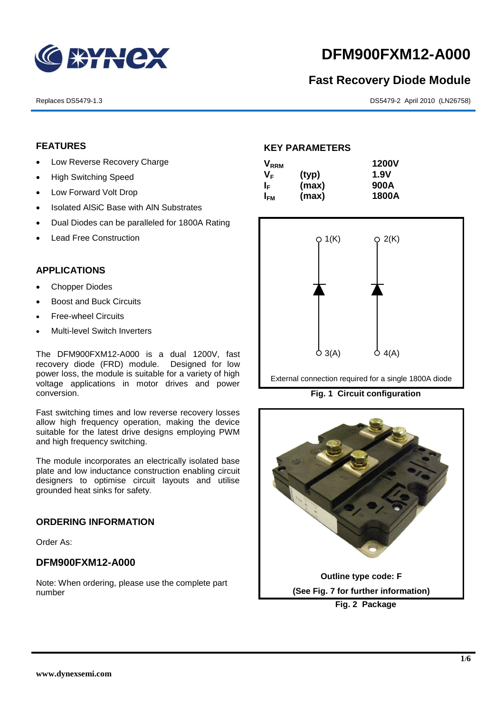

# **DFM900FXM12-A000**

# **Fast Recovery Diode Module**

Replaces DS5479-1.3 DS5479-2 April 2010 (LN26758)

# **FEATURES**

- Low Reverse Recovery Charge
- High Switching Speed
- Low Forward Volt Drop
- Isolated AISiC Base with AIN Substrates
- Dual Diodes can be paralleled for 1800A Rating
- Lead Free Construction

#### **APPLICATIONS**

- Chopper Diodes
- Boost and Buck Circuits
- Free-wheel Circuits
- Multi-level Switch Inverters

The DFM900FXM12-A000 is a dual 1200V, fast recovery diode (FRD) module. Designed for low power loss, the module is suitable for a variety of high voltage applications in motor drives and power conversion.

Fast switching times and low reverse recovery losses allow high frequency operation, making the device suitable for the latest drive designs employing PWM and high frequency switching.

The module incorporates an electrically isolated base plate and low inductance construction enabling circuit designers to optimise circuit layouts and utilise grounded heat sinks for safety.

#### **ORDERING INFORMATION**

Order As:

# **DFM900FXM12-A000**

Note: When ordering, please use the complete part number

## **KEY PARAMETERS**

| <b>V</b> <sub>RRM</sub> |       | <b>1200V</b> |
|-------------------------|-------|--------------|
| V <sub>F</sub>          | (typ) | <b>1.9V</b>  |
| I⊧                      | (max) | 900A         |
| I <sub>FМ</sub>         | (max) | 1800A        |



External connection required for a single 1800A diode

**Fig. 1 Circuit configuration**

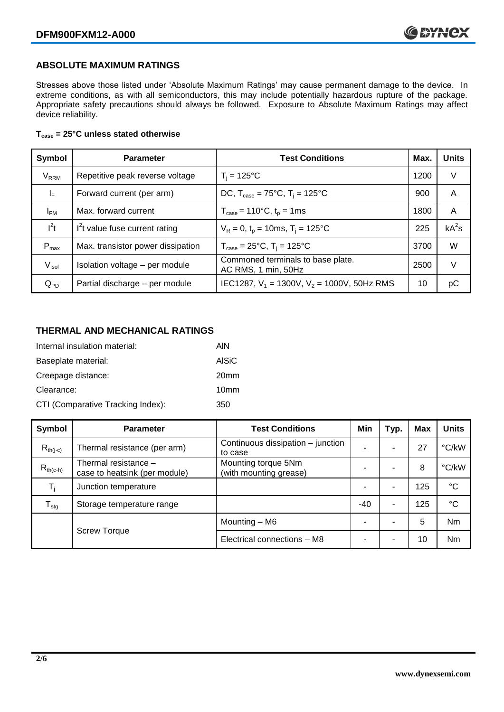# **ABSOLUTE MAXIMUM RATINGS**

Stresses above those listed under 'Absolute Maximum Ratings' may cause permanent damage to the device. In extreme conditions, as with all semiconductors, this may include potentially hazardous rupture of the package. Appropriate safety precautions should always be followed. Exposure to Absolute Maximum Ratings may affect device reliability.

#### **Tcase = 25°C unless stated otherwise**

| Symbol                  | <b>Parameter</b>                  | <b>Test Conditions</b>                                      | Max. | <b>Units</b> |
|-------------------------|-----------------------------------|-------------------------------------------------------------|------|--------------|
| <b>V</b> <sub>RRM</sub> | Repetitive peak reverse voltage   | $T_i = 125$ °C                                              | 1200 | V            |
| $\mathsf{I}_\mathsf{F}$ | Forward current (per arm)         | DC, $T_{\text{case}} = 75^{\circ}$ C, $T_i = 125^{\circ}$ C | 900  | A            |
| $I_{FM}$                | Max. forward current              | $T_{\text{case}} = 110^{\circ}C, t_{p} = 1ms$               | 1800 | A            |
| $I^2t$                  | $I2t$ value fuse current rating   | $V_R = 0$ , $t_p = 10$ ms, $T_i = 125$ °C                   | 225  | $kA^2s$      |
| $P_{max}$               | Max. transistor power dissipation | $T_{\text{case}} = 25^{\circ}C$ , $T_i = 125^{\circ}C$      | 3700 | W            |
| $V_{\sf isol}$          | Isolation voltage - per module    | Commoned terminals to base plate.<br>AC RMS, 1 min, 50Hz    | 2500 | V            |
| $Q_{PD}$                | Partial discharge - per module    | IEC1287, $V_1$ = 1300V, $V_2$ = 1000V, 50Hz RMS             | 10   | рC           |

# **THERMAL AND MECHANICAL RATINGS**

| Internal insulation material:     | AIN              |
|-----------------------------------|------------------|
| Baseplate material:               | AISiC            |
| Creepage distance:                | 20 <sub>mm</sub> |
| Clearance:                        | 10 <sub>mm</sub> |
| CTI (Comparative Tracking Index): | 350              |

| Symbol              | <b>Parameter</b>                                      | <b>Test Conditions</b>                        | Min   | Typ. | Max | <b>Units</b>    |
|---------------------|-------------------------------------------------------|-----------------------------------------------|-------|------|-----|-----------------|
| $R_{th(i-c)}$       | Thermal resistance (per arm)                          | Continuous dissipation – junction<br>to case  |       | ۰    | 27  | °C/kW           |
| $R_{th(c-h)}$       | Thermal resistance -<br>case to heatsink (per module) | Mounting torque 5Nm<br>(with mounting grease) |       | ۰    | 8   | °C/kW           |
| $T_i$               | Junction temperature                                  |                                               |       | ۰    | 125 | $\rm ^{\circ}C$ |
| $T_{\text{stg}}$    | Storage temperature range                             |                                               | $-40$ | ۰    | 125 | $^{\circ}C$     |
|                     |                                                       | Mounting - M6                                 |       | ۰    | 5   | Nm              |
| <b>Screw Torque</b> |                                                       | Electrical connections - M8                   |       | ۰    | 10  | Nm              |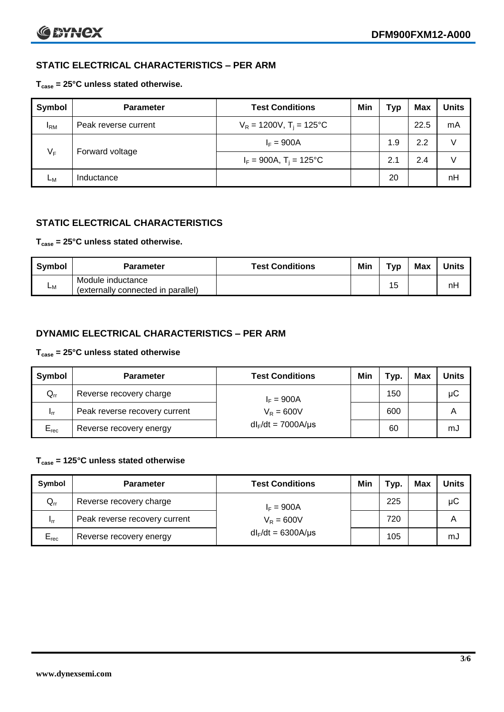# **STATIC ELECTRICAL CHARACTERISTICS – PER ARM**

## **Tcase = 25°C unless stated otherwise.**

| <b>Symbol</b> | <b>Parameter</b>     | <b>Test Conditions</b>                 | Min | Typ | <b>Max</b> | <b>Units</b> |
|---------------|----------------------|----------------------------------------|-----|-----|------------|--------------|
| $I_{\rm RM}$  | Peak reverse current | $V_R = 1200V$ , T <sub>i</sub> = 125°C |     |     | 22.5       | mA           |
| $V_F$         | Forward voltage      | $I_F = 900A$                           |     | 1.9 | 2.2        | v            |
|               |                      | $I_F = 900A$ , $T_i = 125^{\circ}C$    |     | 2.1 | 2.4        | V            |
| Lм            | Inductance           |                                        |     | 20  |            | nH           |

# **STATIC ELECTRICAL CHARACTERISTICS**

#### **Tcase = 25°C unless stated otherwise.**

| Symbol | <b>Parameter</b>                                        | <b>Test Conditions</b> | Min | тур | Max | <b>Units</b> |
|--------|---------------------------------------------------------|------------------------|-----|-----|-----|--------------|
| Lм     | Module inductance<br>(externally connected in parallel) |                        |     | 15  |     | nH           |

# **DYNAMIC ELECTRICAL CHARACTERISTICS – PER ARM**

#### **Tcase = 25°C unless stated otherwise**

| <b>Symbol</b>   | <b>Parameter</b>              | <b>Test Conditions</b>  | Min | тур. | Max | Units |
|-----------------|-------------------------------|-------------------------|-----|------|-----|-------|
| $Q_{rr}$        | Reverse recovery charge       | $I_F = 900A$            |     | 150  |     | μC    |
| 1 <sub>rr</sub> | Peak reverse recovery current | $V_{\rm R} = 600V$      |     | 600  |     | Α     |
| $E_{rec}$       | Reverse recovery energy       | $dl_F/dt = 7000A/\mu s$ |     | 60   |     | mJ    |

## **Tcase = 125°C unless stated otherwise**

| Symbol    | <b>Parameter</b>              | <b>Test Conditions</b>  | Min | $\tau_{\text{yp}}$ . | Max | Units |
|-----------|-------------------------------|-------------------------|-----|----------------------|-----|-------|
| $Q_{rr}$  | Reverse recovery charge       | $I_F = 900A$            |     | 225                  |     | μC    |
| - Irr     | Peak reverse recovery current | $V_R = 600V$            |     | 720                  |     | Α     |
| $E_{rec}$ | Reverse recovery energy       | $dl_F/dt = 6300A/\mu s$ |     | 105                  |     | mJ    |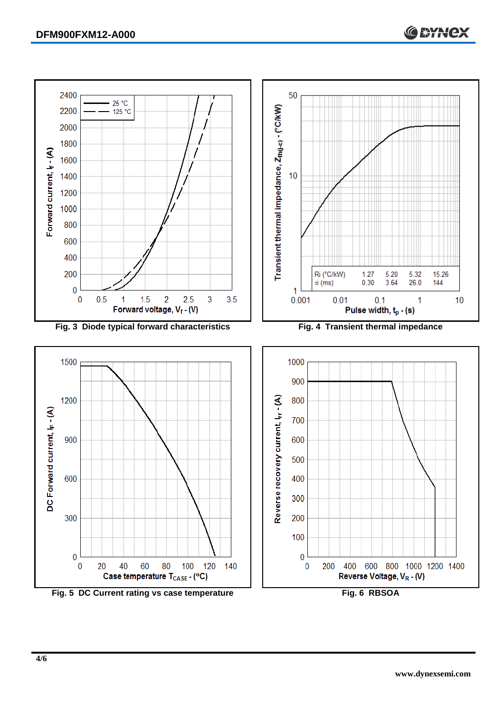

Fig. 5 DC Current rating vs case temperature **Fig. 6 RBSOA**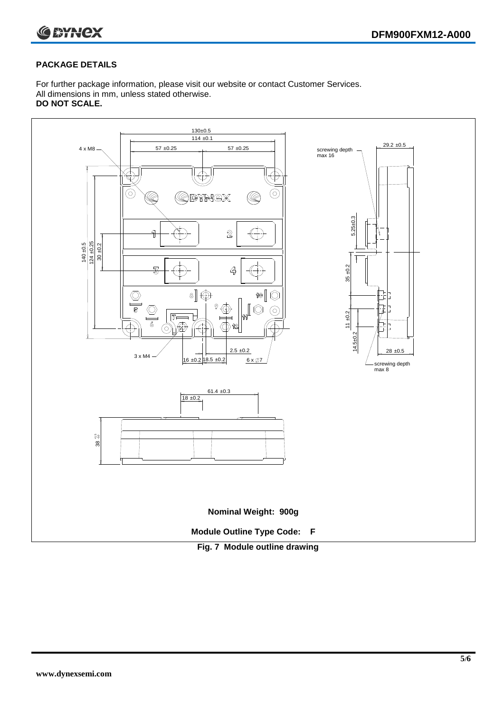



## **PACKAGE DETAILS**

For further package information, please visit our website or contact Customer Services. All dimensions in mm, unless stated otherwise. **DO NOT SCALE.**